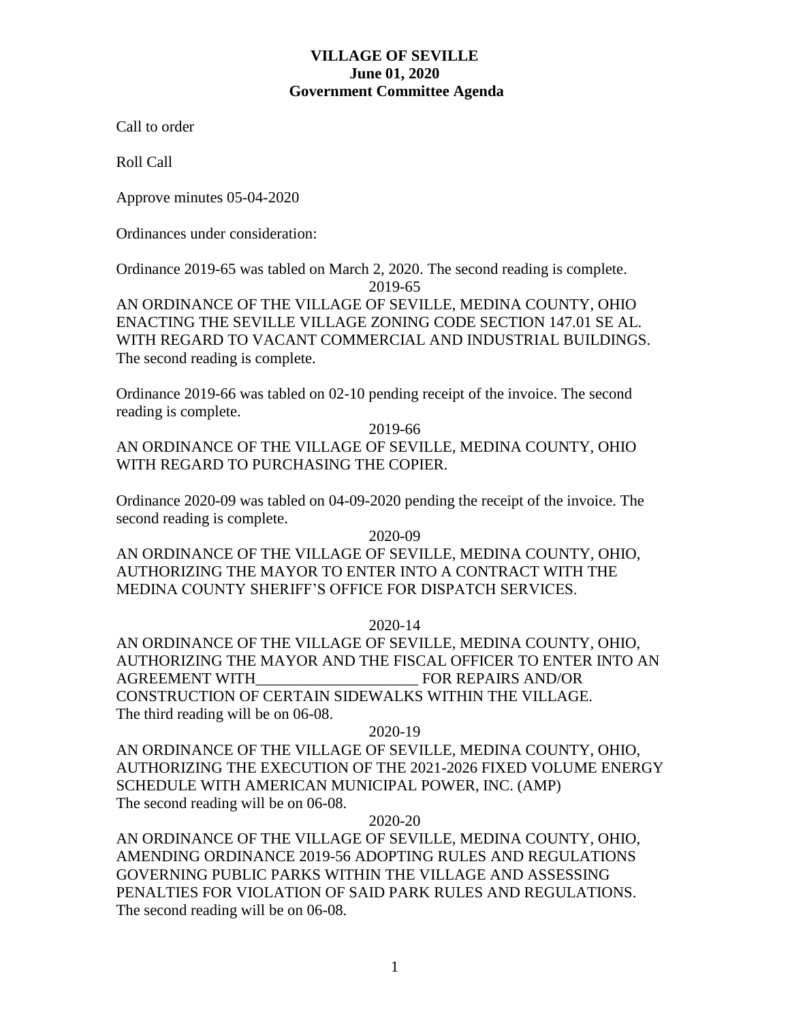# **VILLAGE OF SEVILLE June 01, 2020 Government Committee Agenda**

Call to order

Roll Call

Approve minutes 05-04-2020

Ordinances under consideration:

Ordinance 2019-65 was tabled on March 2, 2020. The second reading is complete.

2019-65

AN ORDINANCE OF THE VILLAGE OF SEVILLE, MEDINA COUNTY, OHIO ENACTING THE SEVILLE VILLAGE ZONING CODE SECTION 147.01 SE AL. WITH REGARD TO VACANT COMMERCIAL AND INDUSTRIAL BUILDINGS. The second reading is complete.

Ordinance 2019-66 was tabled on 02-10 pending receipt of the invoice. The second reading is complete.

2019-66

AN ORDINANCE OF THE VILLAGE OF SEVILLE, MEDINA COUNTY, OHIO WITH REGARD TO PURCHASING THE COPIER.

Ordinance 2020-09 was tabled on 04-09-2020 pending the receipt of the invoice. The second reading is complete.

2020-09

AN ORDINANCE OF THE VILLAGE OF SEVILLE, MEDINA COUNTY, OHIO, AUTHORIZING THE MAYOR TO ENTER INTO A CONTRACT WITH THE MEDINA COUNTY SHERIFF'S OFFICE FOR DISPATCH SERVICES.

2020-14

AN ORDINANCE OF THE VILLAGE OF SEVILLE, MEDINA COUNTY, OHIO, AUTHORIZING THE MAYOR AND THE FISCAL OFFICER TO ENTER INTO AN AGREEMENT WITH THE REPAIRS AND/OR CONSTRUCTION OF CERTAIN SIDEWALKS WITHIN THE VILLAGE. The third reading will be on 06-08.

### 2020-19

AN ORDINANCE OF THE VILLAGE OF SEVILLE, MEDINA COUNTY, OHIO, AUTHORIZING THE EXECUTION OF THE 2021-2026 FIXED VOLUME ENERGY SCHEDULE WITH AMERICAN MUNICIPAL POWER, INC. (AMP) The second reading will be on 06-08.

2020-20

AN ORDINANCE OF THE VILLAGE OF SEVILLE, MEDINA COUNTY, OHIO, AMENDING ORDINANCE 2019-56 ADOPTING RULES AND REGULATIONS GOVERNING PUBLIC PARKS WITHIN THE VILLAGE AND ASSESSING PENALTIES FOR VIOLATION OF SAID PARK RULES AND REGULATIONS. The second reading will be on 06-08.